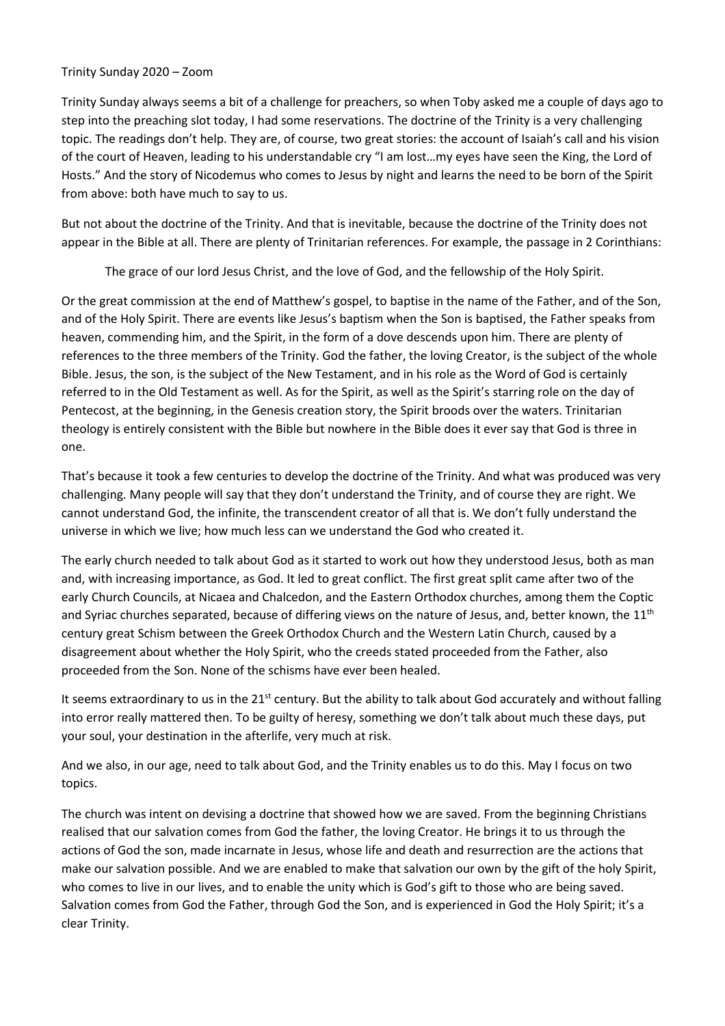## Trinity Sunday 2020 – Zoom

Trinity Sunday always seems a bit of a challenge for preachers, so when Toby asked me a couple of days ago to step into the preaching slot today, I had some reservations. The doctrine of the Trinity is a very challenging topic. The readings don't help. They are, of course, two great stories: the account of Isaiah's call and his vision of the court of Heaven, leading to his understandable cry "I am lost…my eyes have seen the King, the Lord of Hosts." And the story of Nicodemus who comes to Jesus by night and learns the need to be born of the Spirit from above: both have much to say to us.

But not about the doctrine of the Trinity. And that is inevitable, because the doctrine of the Trinity does not appear in the Bible at all. There are plenty of Trinitarian references. For example, the passage in 2 Corinthians:

The grace of our lord Jesus Christ, and the love of God, and the fellowship of the Holy Spirit.

Or the great commission at the end of Matthew's gospel, to baptise in the name of the Father, and of the Son, and of the Holy Spirit. There are events like Jesus's baptism when the Son is baptised, the Father speaks from heaven, commending him, and the Spirit, in the form of a dove descends upon him. There are plenty of references to the three members of the Trinity. God the father, the loving Creator, is the subject of the whole Bible. Jesus, the son, is the subject of the New Testament, and in his role as the Word of God is certainly referred to in the Old Testament as well. As for the Spirit, as well as the Spirit's starring role on the day of Pentecost, at the beginning, in the Genesis creation story, the Spirit broods over the waters. Trinitarian theology is entirely consistent with the Bible but nowhere in the Bible does it ever say that God is three in one.

That's because it took a few centuries to develop the doctrine of the Trinity. And what was produced was very challenging. Many people will say that they don't understand the Trinity, and of course they are right. We cannot understand God, the infinite, the transcendent creator of all that is. We don't fully understand the universe in which we live; how much less can we understand the God who created it.

The early church needed to talk about God as it started to work out how they understood Jesus, both as man and, with increasing importance, as God. It led to great conflict. The first great split came after two of the early Church Councils, at Nicaea and Chalcedon, and the Eastern Orthodox churches, among them the Coptic and Syriac churches separated, because of differing views on the nature of Jesus, and, better known, the 11<sup>th</sup> century great Schism between the Greek Orthodox Church and the Western Latin Church, caused by a disagreement about whether the Holy Spirit, who the creeds stated proceeded from the Father, also proceeded from the Son. None of the schisms have ever been healed.

It seems extraordinary to us in the 21<sup>st</sup> century. But the ability to talk about God accurately and without falling into error really mattered then. To be guilty of heresy, something we don't talk about much these days, put your soul, your destination in the afterlife, very much at risk.

And we also, in our age, need to talk about God, and the Trinity enables us to do this. May I focus on two topics.

The church was intent on devising a doctrine that showed how we are saved. From the beginning Christians realised that our salvation comes from God the father, the loving Creator. He brings it to us through the actions of God the son, made incarnate in Jesus, whose life and death and resurrection are the actions that make our salvation possible. And we are enabled to make that salvation our own by the gift of the holy Spirit, who comes to live in our lives, and to enable the unity which is God's gift to those who are being saved. Salvation comes from God the Father, through God the Son, and is experienced in God the Holy Spirit; it's a clear Trinity.